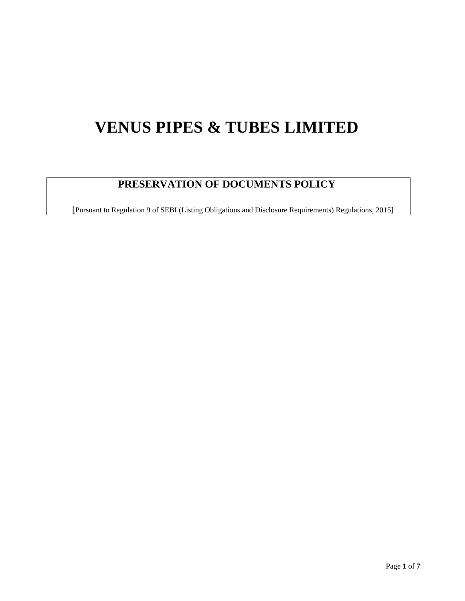# **VENUS PIPES & TUBES LIMITED**

# **PRESERVATION OF DOCUMENTS POLICY**

[Pursuant to Regulation 9 of SEBI (Listing Obligations and Disclosure Requirements) Regulations, 2015]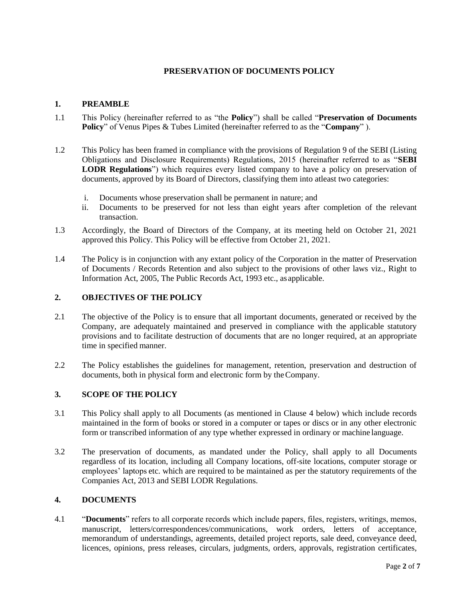# **PRESERVATION OF DOCUMENTS POLICY**

# **1. PREAMBLE**

- 1.1 This Policy (hereinafter referred to as "the **Policy**") shall be called "**Preservation of Documents Policy**" of Venus Pipes & Tubes Limited (hereinafter referred to as the "**Company**" ).
- 1.2 This Policy has been framed in compliance with the provisions of Regulation 9 of the SEBI (Listing Obligations and Disclosure Requirements) Regulations, 2015 (hereinafter referred to as "**SEBI LODR Regulations**") which requires every listed company to have a policy on preservation of documents, approved by its Board of Directors, classifying them into atleast two categories:
	- i. Documents whose preservation shall be permanent in nature; and
	- ii. Documents to be preserved for not less than eight years after completion of the relevant transaction.
- 1.3 Accordingly, the Board of Directors of the Company, at its meeting held on October 21, 2021 approved this Policy. This Policy will be effective from October 21, 2021.
- 1.4 The Policy is in conjunction with any extant policy of the Corporation in the matter of Preservation of Documents / Records Retention and also subject to the provisions of other laws viz., Right to Information Act, 2005, The Public Records Act, 1993 etc., asapplicable.

# **2. OBJECTIVES OF THE POLICY**

- 2.1 The objective of the Policy is to ensure that all important documents, generated or received by the Company, are adequately maintained and preserved in compliance with the applicable statutory provisions and to facilitate destruction of documents that are no longer required, at an appropriate time in specified manner.
- 2.2 The Policy establishes the guidelines for management, retention, preservation and destruction of documents, both in physical form and electronic form by theCompany.

# **3. SCOPE OF THE POLICY**

- 3.1 This Policy shall apply to all Documents (as mentioned in Clause 4 below) which include records maintained in the form of books or stored in a computer or tapes or discs or in any other electronic form or transcribed information of any type whether expressed in ordinary or machine language.
- 3.2 The preservation of documents, as mandated under the Policy, shall apply to all Documents regardless of its location, including all Company locations, off-site locations, computer storage or employees' laptops etc. which are required to be maintained as per the statutory requirements of the Companies Act, 2013 and SEBI LODR Regulations.

#### **4. DOCUMENTS**

4.1 "**Documents**" refers to all corporate records which include papers, files, registers, writings, memos, manuscript, letters/correspondences/communications, work orders, letters of acceptance, memorandum of understandings, agreements, detailed project reports, sale deed, conveyance deed, licences, opinions, press releases, circulars, judgments, orders, approvals, registration certificates,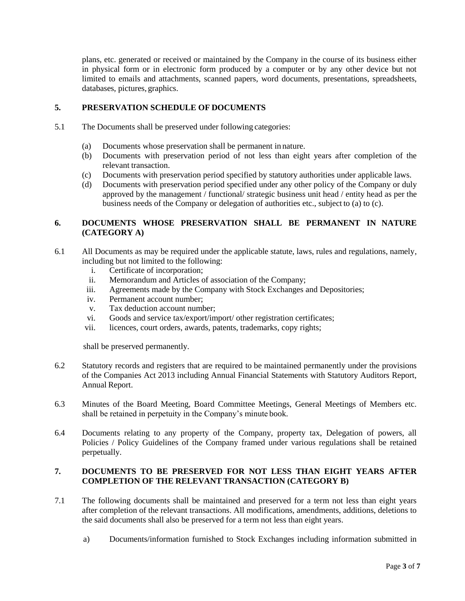plans, etc. generated or received or maintained by the Company in the course of its business either in physical form or in electronic form produced by a computer or by any other device but not limited to emails and attachments, scanned papers, word documents, presentations, spreadsheets, databases, pictures, graphics.

#### **5. PRESERVATION SCHEDULE OF DOCUMENTS**

- 5.1 The Documents shall be preserved under following categories:
	- (a) Documents whose preservation shall be permanent in nature.
	- (b) Documents with preservation period of not less than eight years after completion of the relevant transaction.
	- (c) Documents with preservation period specified by statutory authorities under applicable laws.
	- (d) Documents with preservation period specified under any other policy of the Company or duly approved by the management / functional/ strategic business unit head / entity head as per the business needs of the Company or delegation of authorities etc., subject to (a) to (c).

# **6. DOCUMENTS WHOSE PRESERVATION SHALL BE PERMANENT IN NATURE (CATEGORY A)**

- 6.1 All Documents as may be required under the applicable statute, laws, rules and regulations, namely, including but not limited to the following:
	- i. Certificate of incorporation;
	- ii. Memorandum and Articles of association of the Company;
	- iii. Agreements made by the Company with Stock Exchanges and Depositories;
	- iv. Permanent account number;
	- v. Tax deduction account number;
	- vi. Goods and service tax/export/import/ other registration certificates;
	- vii. licences, court orders, awards, patents, trademarks, copy rights;

shall be preserved permanently.

- 6.2 Statutory records and registers that are required to be maintained permanently under the provisions of the Companies Act 2013 including Annual Financial Statements with Statutory Auditors Report, Annual Report.
- 6.3 Minutes of the Board Meeting, Board Committee Meetings, General Meetings of Members etc. shall be retained in perpetuity in the Company's minute book.
- 6.4 Documents relating to any property of the Company, property tax, Delegation of powers, all Policies / Policy Guidelines of the Company framed under various regulations shall be retained perpetually.

#### **7. DOCUMENTS TO BE PRESERVED FOR NOT LESS THAN EIGHT YEARS AFTER COMPLETION OF THE RELEVANT TRANSACTION (CATEGORY B)**

- 7.1 The following documents shall be maintained and preserved for a term not less than eight years after completion of the relevant transactions. All modifications, amendments, additions, deletions to the said documents shall also be preserved for a term not less than eight years.
	- a) Documents/information furnished to Stock Exchanges including information submitted in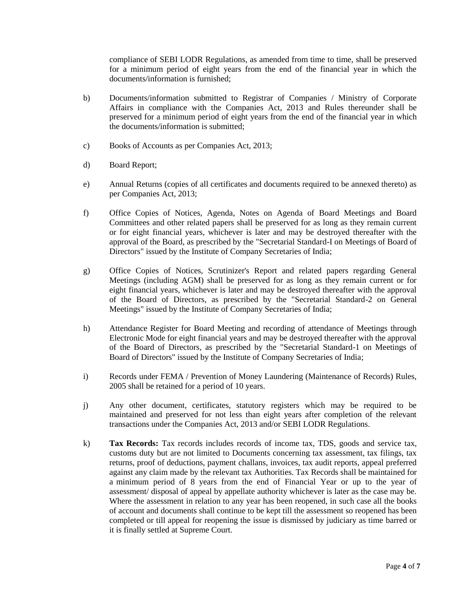compliance of SEBI LODR Regulations, as amended from time to time, shall be preserved for a minimum period of eight years from the end of the financial year in which the documents/information is furnished;

- b) Documents/information submitted to Registrar of Companies / Ministry of Corporate Affairs in compliance with the Companies Act, 2013 and Rules thereunder shall be preserved for a minimum period of eight years from the end of the financial year in which the documents/information is submitted;
- c) Books of Accounts as per Companies Act, 2013;
- d) Board Report;
- e) Annual Returns (copies of all certificates and documents required to be annexed thereto) as per Companies Act, 2013;
- f) Office Copies of Notices, Agenda, Notes on Agenda of Board Meetings and Board Committees and other related papers shall be preserved for as long as they remain current or for eight financial years, whichever is later and may be destroyed thereafter with the approval of the Board, as prescribed by the "Secretarial Standard-I on Meetings of Board of Directors" issued by the Institute of Company Secretaries of India;
- g) Office Copies of Notices, Scrutinizer's Report and related papers regarding General Meetings (including AGM) shall be preserved for as long as they remain current or for eight financial years, whichever is later and may be destroyed thereafter with the approval of the Board of Directors, as prescribed by the "Secretarial Standard-2 on General Meetings" issued by the Institute of Company Secretaries of India;
- h) Attendance Register for Board Meeting and recording of attendance of Meetings through Electronic Mode for eight financial years and may be destroyed thereafter with the approval of the Board of Directors, as prescribed by the "Secretarial Standard-1 on Meetings of Board of Directors" issued by the Institute of Company Secretaries of India;
- i) Records under FEMA / Prevention of Money Laundering (Maintenance of Records) Rules, 2005 shall be retained for a period of 10 years.
- j) Any other document, certificates, statutory registers which may be required to be maintained and preserved for not less than eight years after completion of the relevant transactions under the Companies Act, 2013 and/or SEBI LODR Regulations.
- k) **Tax Records:** Tax records includes records of income tax, TDS, goods and service tax, customs duty but are not limited to Documents concerning tax assessment, tax filings, tax returns, proof of deductions, payment challans, invoices, tax audit reports, appeal preferred against any claim made by the relevant tax Authorities. Tax Records shall be maintained for a minimum period of 8 years from the end of Financial Year or up to the year of assessment/ disposal of appeal by appellate authority whichever is later as the case may be. Where the assessment in relation to any year has been reopened, in such case all the books of account and documents shall continue to be kept till the assessment so reopened has been completed or till appeal for reopening the issue is dismissed by judiciary as time barred or it is finally settled at Supreme Court.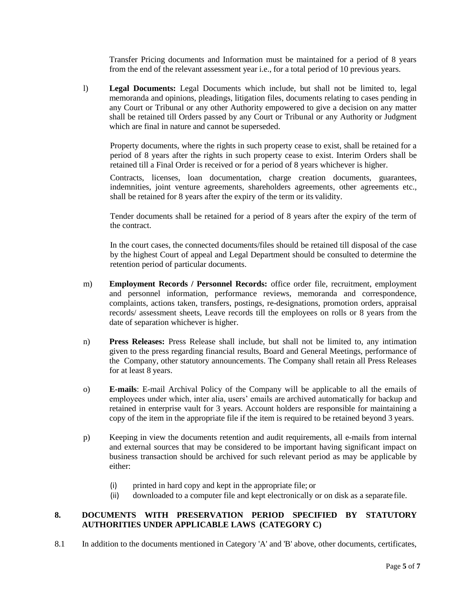Transfer Pricing documents and Information must be maintained for a period of 8 years from the end of the relevant assessment year i.e., for a total period of 10 previous years.

l) **Legal Documents:** Legal Documents which include, but shall not be limited to, legal memoranda and opinions, pleadings, litigation files, documents relating to cases pending in any Court or Tribunal or any other Authority empowered to give a decision on any matter shall be retained till Orders passed by any Court or Tribunal or any Authority or Judgment which are final in nature and cannot be superseded.

Property documents, where the rights in such property cease to exist, shall be retained for a period of 8 years after the rights in such property cease to exist. Interim Orders shall be retained till a Final Order is received or for a period of 8 years whichever is higher.

Contracts, licenses, loan documentation, charge creation documents, guarantees, indemnities, joint venture agreements, shareholders agreements, other agreements etc., shall be retained for 8 years after the expiry of the term or its validity.

Tender documents shall be retained for a period of 8 years after the expiry of the term of the contract.

In the court cases, the connected documents/files should be retained till disposal of the case by the highest Court of appeal and Legal Department should be consulted to determine the retention period of particular documents.

- m) **Employment Records / Personnel Records:** office order file, recruitment, employment and personnel information, performance reviews, memoranda and correspondence, complaints, actions taken, transfers, postings, re-designations, promotion orders, appraisal records/ assessment sheets, Leave records till the employees on rolls or 8 years from the date of separation whichever is higher.
- n) **Press Releases:** Press Release shall include, but shall not be limited to, any intimation given to the press regarding financial results, Board and General Meetings, performance of the Company, other statutory announcements. The Company shall retain all Press Releases for at least 8 years.
- o) **E-mails**: E-mail Archival Policy of the Company will be applicable to all the emails of employees under which, inter alia, users' emails are archived automatically for backup and retained in enterprise vault for 3 years. Account holders are responsible for maintaining a copy of the item in the appropriate file if the item is required to be retained beyond 3 years.
- p) Keeping in view the documents retention and audit requirements, all e-mails from internal and external sources that may be considered to be important having significant impact on business transaction should be archived for such relevant period as may be applicable by either:
	- (i) printed in hard copy and kept in the appropriate file; or
	- (ii) downloaded to a computer file and kept electronically or on disk as a separate file.

# **8. DOCUMENTS WITH PRESERVATION PERIOD SPECIFIED BY STATUTORY AUTHORITIES UNDER APPLICABLE LAWS (CATEGORY C)**

8.1 In addition to the documents mentioned in Category 'A' and 'B' above, other documents, certificates,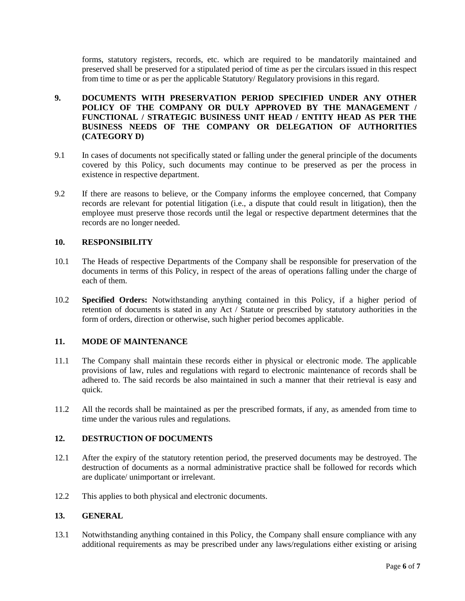forms, statutory registers, records, etc. which are required to be mandatorily maintained and preserved shall be preserved for a stipulated period of time as per the circulars issued in this respect from time to time or as per the applicable Statutory/ Regulatory provisions in this regard.

# **9. DOCUMENTS WITH PRESERVATION PERIOD SPECIFIED UNDER ANY OTHER POLICY OF THE COMPANY OR DULY APPROVED BY THE MANAGEMENT / FUNCTIONAL / STRATEGIC BUSINESS UNIT HEAD / ENTITY HEAD AS PER THE BUSINESS NEEDS OF THE COMPANY OR DELEGATION OF AUTHORITIES (CATEGORY D)**

- 9.1 In cases of documents not specifically stated or falling under the general principle of the documents covered by this Policy, such documents may continue to be preserved as per the process in existence in respective department.
- 9.2 If there are reasons to believe, or the Company informs the employee concerned, that Company records are relevant for potential litigation (i.e., a dispute that could result in litigation), then the employee must preserve those records until the legal or respective department determines that the records are no longer needed.

# **10. RESPONSIBILITY**

- 10.1 The Heads of respective Departments of the Company shall be responsible for preservation of the documents in terms of this Policy, in respect of the areas of operations falling under the charge of each of them.
- 10.2 **Specified Orders:** Notwithstanding anything contained in this Policy, if a higher period of retention of documents is stated in any Act / Statute or prescribed by statutory authorities in the form of orders, direction or otherwise, such higher period becomes applicable.

#### **11. MODE OF MAINTENANCE**

- 11.1 The Company shall maintain these records either in physical or electronic mode. The applicable provisions of law, rules and regulations with regard to electronic maintenance of records shall be adhered to. The said records be also maintained in such a manner that their retrieval is easy and quick.
- 11.2 All the records shall be maintained as per the prescribed formats, if any, as amended from time to time under the various rules and regulations.

# **12. DESTRUCTION OF DOCUMENTS**

- 12.1 After the expiry of the statutory retention period, the preserved documents may be destroyed. The destruction of documents as a normal administrative practice shall be followed for records which are duplicate/ unimportant or irrelevant.
- 12.2 This applies to both physical and electronic documents.

# **13. GENERAL**

13.1 Notwithstanding anything contained in this Policy, the Company shall ensure compliance with any additional requirements as may be prescribed under any laws/regulations either existing or arising